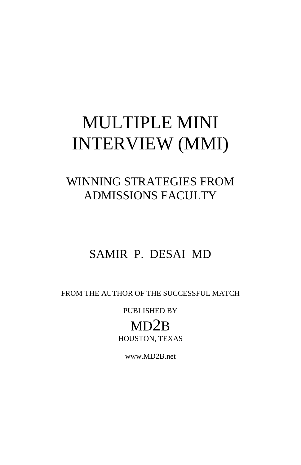# MULTIPLE MINI INTERVIEW (MMI)

# WINNING STRATEGIES FROM ADMISSIONS FACULTY

# SAMIR P. DESAI MD

FROM THE AUTHOR OF THE SUCCESSFUL MATCH

PUBLISHED BY

MD2B HOUSTON, TEXAS

www.MD2B.net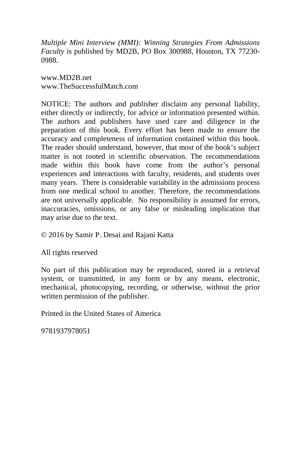*Multiple Mini Interview (MMI): Winning Strategies From Admissions Faculty* is published by MD2B, PO Box 300988, Houston, TX 77230- 0988.

www.MD2B.net www.TheSuccessfulMatch.com

NOTICE: The authors and publisher disclaim any personal liability, either directly or indirectly, for advice or information presented within. The authors and publishers have used care and diligence in the preparation of this book. Every effort has been made to ensure the accuracy and completeness of information contained within this book. The reader should understand, however, that most of the book's subject matter is not rooted in scientific observation. The recommendations made within this book have come from the author's personal experiences and interactions with faculty, residents, and students over many years. There is considerable variability in the admissions process from one medical school to another. Therefore, the recommendations are not universally applicable. No responsibility is assumed for errors, inaccuracies, omissions, or any false or misleading implication that may arise due to the text.

© 2016 by Samir P. Desai and Rajani Katta

All rights reserved

No part of this publication may be reproduced, stored in a retrieval system, or transmitted, in any form or by any means, electronic, mechanical, photocopying, recording, or otherwise, without the prior written permission of the publisher.

Printed in the United States of America

9781937978051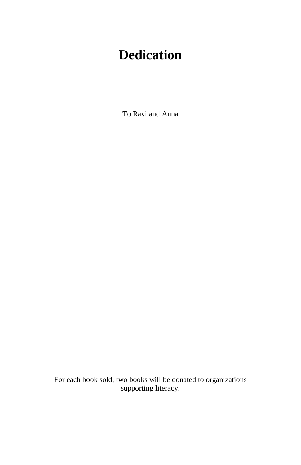# **Dedication**

To Ravi and Anna

For each book sold, two books will be donated to organizations supporting literacy.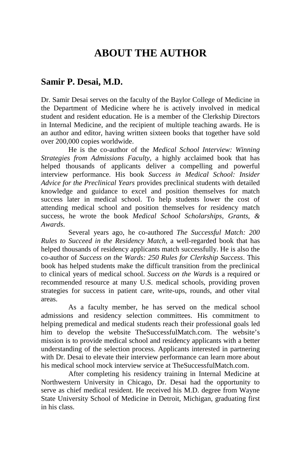### **ABOUT THE AUTHOR**

#### **Samir P. Desai, M.D.**

Dr. Samir Desai serves on the faculty of the Baylor College of Medicine in the Department of Medicine where he is actively involved in medical student and resident education. He is a member of the Clerkship Directors in Internal Medicine, and the recipient of multiple teaching awards. He is an author and editor, having written sixteen books that together have sold over 200,000 copies worldwide.

He is the co-author of the *Medical School Interview: Winning Strategies from Admissions Faculty*, a highly acclaimed book that has helped thousands of applicants deliver a compelling and powerful interview performance. His book *Success in Medical School: Insider Advice for the Preclinical Years* provides preclinical students with detailed knowledge and guidance to excel and position themselves for match success later in medical school. To help students lower the cost of attending medical school and position themselves for residency match success, he wrote the book *Medical School Scholarships, Grants, & Awards*.

Several years ago, he co-authored *The Successful Match: 200 Rules to Succeed in the Residency Match*, a well-regarded book that has helped thousands of residency applicants match successfully. He is also the co-author of *Success on the Wards: 250 Rules for Clerkship Success*. This book has helped students make the difficult transition from the preclinical to clinical years of medical school. *Success on the Wards* is a required or recommended resource at many U.S. medical schools, providing proven strategies for success in patient care, write-ups, rounds, and other vital areas.

As a faculty member, he has served on the medical school admissions and residency selection committees. His commitment to helping premedical and medical students reach their professional goals led him to develop the website TheSuccessfulMatch.com. The website's mission is to provide medical school and residency applicants with a better understanding of the selection process. Applicants interested in partnering with Dr. Desai to elevate their interview performance can learn more about his medical school mock interview service at TheSuccessfulMatch.com.

After completing his residency training in Internal Medicine at Northwestern University in Chicago, Dr. Desai had the opportunity to serve as chief medical resident. He received his M.D. degree from Wayne State University School of Medicine in Detroit, Michigan, graduating first in his class.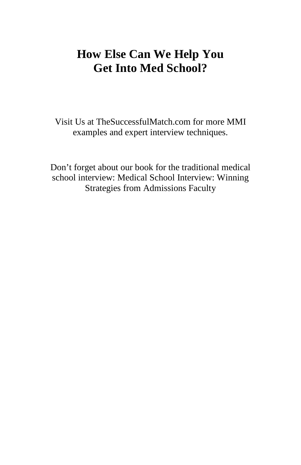# **How Else Can We Help You Get Into Med School?**

Visit Us at TheSuccessfulMatch.com for more MMI examples and expert interview techniques.

Don't forget about our book for the traditional medical school interview: Medical School Interview: Winning Strategies from Admissions Faculty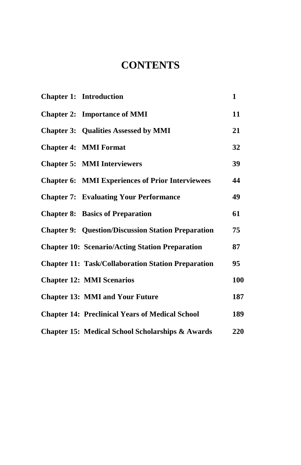### **CONTENTS**

| <b>Chapter 1: Introduction</b>                            | 1   |
|-----------------------------------------------------------|-----|
| <b>Chapter 2: Importance of MMI</b>                       | 11  |
| <b>Chapter 3: Qualities Assessed by MMI</b>               | 21  |
| <b>Chapter 4: MMI Format</b>                              | 32  |
| <b>Chapter 5: MMI Interviewers</b>                        | 39  |
| <b>Chapter 6: MMI Experiences of Prior Interviewees</b>   | 44  |
| <b>Chapter 7: Evaluating Your Performance</b>             | 49  |
| <b>Chapter 8: Basics of Preparation</b>                   | 61  |
| <b>Chapter 9: Question/Discussion Station Preparation</b> | 75  |
| <b>Chapter 10: Scenario/Acting Station Preparation</b>    | 87  |
| <b>Chapter 11: Task/Collaboration Station Preparation</b> | 95  |
| <b>Chapter 12: MMI Scenarios</b>                          | 100 |
| <b>Chapter 13: MMI and Your Future</b>                    | 187 |
| <b>Chapter 14: Preclinical Years of Medical School</b>    | 189 |
| Chapter 15: Medical School Scholarships & Awards          | 220 |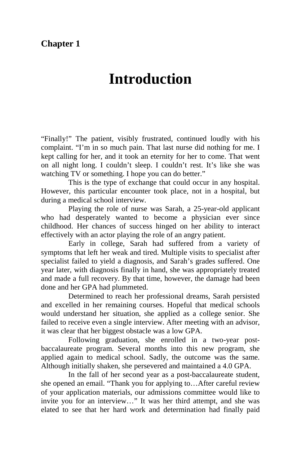#### **Chapter 1**

# **Introduction**

"Finally!" The patient, visibly frustrated, continued loudly with his complaint. "I'm in so much pain. That last nurse did nothing for me. I kept calling for her, and it took an eternity for her to come. That went on all night long. I couldn't sleep. I couldn't rest. It's like she was watching TV or something. I hope you can do better."

This is the type of exchange that could occur in any hospital. However, this particular encounter took place, not in a hospital, but during a medical school interview.

Playing the role of nurse was Sarah, a 25-year-old applicant who had desperately wanted to become a physician ever since childhood. Her chances of success hinged on her ability to interact effectively with an actor playing the role of an angry patient.

Early in college, Sarah had suffered from a variety of symptoms that left her weak and tired. Multiple visits to specialist after specialist failed to yield a diagnosis, and Sarah's grades suffered. One year later, with diagnosis finally in hand, she was appropriately treated and made a full recovery. By that time, however, the damage had been done and her GPA had plummeted.

Determined to reach her professional dreams, Sarah persisted and excelled in her remaining courses. Hopeful that medical schools would understand her situation, she applied as a college senior. She failed to receive even a single interview. After meeting with an advisor, it was clear that her biggest obstacle was a low GPA.

Following graduation, she enrolled in a two-year postbaccalaureate program. Several months into this new program, she applied again to medical school. Sadly, the outcome was the same. Although initially shaken, she persevered and maintained a 4.0 GPA.

In the fall of her second year as a post-baccalaureate student, she opened an email. "Thank you for applying to…After careful review of your application materials, our admissions committee would like to invite you for an interview…" It was her third attempt, and she was elated to see that her hard work and determination had finally paid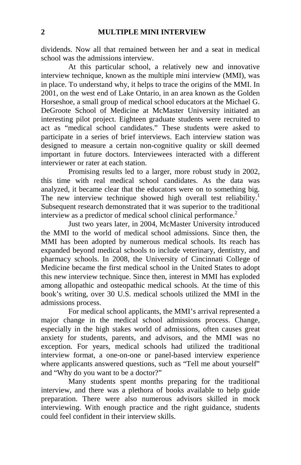dividends. Now all that remained between her and a seat in medical school was the admissions interview.

At this particular school, a relatively new and innovative interview technique, known as the multiple mini interview (MMI), was in place. To understand why, it helps to trace the origins of the MMI. In 2001, on the west end of Lake Ontario, in an area known as the Golden Horseshoe, a small group of medical school educators at the Michael G. DeGroote School of Medicine at McMaster University initiated an interesting pilot project. Eighteen graduate students were recruited to act as "medical school candidates." These students were asked to participate in a series of brief interviews. Each interview station was designed to measure a certain non-cognitive quality or skill deemed important in future doctors. Interviewees interacted with a different interviewer or rater at each station.

Promising results led to a larger, more robust study in 2002, this time with real medical school candidates. As the data was analyzed, it became clear that the educators were on to something big. The new interview technique showed high overall test reliability.<sup>1</sup> Subsequent research demonstrated that it was superior to the traditional interview as a predictor of medical school clinical performance.<sup>2</sup>

Just two years later, in 2004, McMaster University introduced the MMI to the world of medical school admissions. Since then, the MMI has been adopted by numerous medical schools. Its reach has expanded beyond medical schools to include veterinary, dentistry, and pharmacy schools. In 2008, the University of Cincinnati College of Medicine became the first medical school in the United States to adopt this new interview technique. Since then, interest in MMI has exploded among allopathic and osteopathic medical schools. At the time of this book's writing, over 30 U.S. medical schools utilized the MMI in the admissions process.

For medical school applicants, the MMI's arrival represented a major change in the medical school admissions process. Change, especially in the high stakes world of admissions, often causes great anxiety for students, parents, and advisors, and the MMI was no exception. For years, medical schools had utilized the traditional interview format, a one-on-one or panel-based interview experience where applicants answered questions, such as "Tell me about yourself" and "Why do you want to be a doctor?"

Many students spent months preparing for the traditional interview, and there was a plethora of books available to help guide preparation. There were also numerous advisors skilled in mock interviewing. With enough practice and the right guidance, students could feel confident in their interview skills.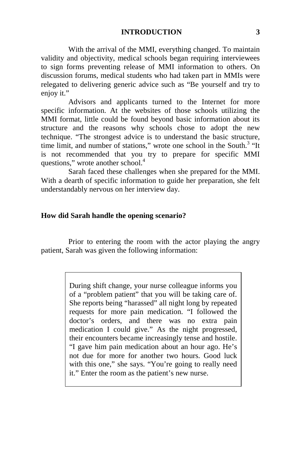With the arrival of the MMI, everything changed. To maintain validity and objectivity, medical schools began requiring interviewees to sign forms preventing release of MMI information to others. On discussion forums, medical students who had taken part in MMIs were relegated to delivering generic advice such as "Be yourself and try to enjoy it."

Advisors and applicants turned to the Internet for more specific information. At the websites of those schools utilizing the MMI format, little could be found beyond basic information about its structure and the reasons why schools chose to adopt the new technique. "The strongest advice is to understand the basic structure, time limit, and number of stations," wrote one school in the South.<sup>3</sup> "It is not recommended that you try to prepare for specific MMI questions," wrote another school.<sup>4</sup>

Sarah faced these challenges when she prepared for the MMI. With a dearth of specific information to guide her preparation, she felt understandably nervous on her interview day.

#### **How did Sarah handle the opening scenario?**

Prior to entering the room with the actor playing the angry patient, Sarah was given the following information:

> During shift change, your nurse colleague informs you of a "problem patient" that you will be taking care of. She reports being "harassed" all night long by repeated requests for more pain medication. "I followed the doctor's orders, and there was no extra pain medication I could give." As the night progressed, their encounters became increasingly tense and hostile. "I gave him pain medication about an hour ago. He's not due for more for another two hours. Good luck with this one," she says. "You're going to really need it." Enter the room as the patient's new nurse.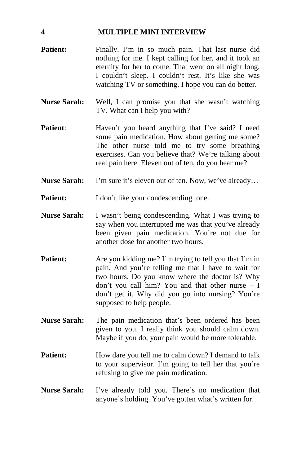#### **4 MULTIPLE MINI INTERVIEW**

- Patient: Finally. I'm in so much pain. That last nurse did nothing for me. I kept calling for her, and it took an eternity for her to come. That went on all night long. I couldn't sleep. I couldn't rest. It's like she was watching TV or something. I hope you can do better.
- **Nurse Sarah:** Well, I can promise you that she wasn't watching TV. What can I help you with?
- **Patient:** Haven't you heard anything that I've said? I need some pain medication. How about getting me some? The other nurse told me to try some breathing exercises. Can you believe that? We're talking about real pain here. Eleven out of ten, do you hear me?
- **Nurse Sarah:** I'm sure it's eleven out of ten. Now, we've already…
- **Patient:** I don't like your condescending tone.
- **Nurse Sarah:** I wasn't being condescending. What I was trying to say when you interrupted me was that you've already been given pain medication. You're not due for another dose for another two hours.
- **Patient:** Are you kidding me? I'm trying to tell you that I'm in pain. And you're telling me that I have to wait for two hours. Do you know where the doctor is? Why don't you call him? You and that other nurse – I don't get it. Why did you go into nursing? You're supposed to help people.
- **Nurse Sarah:** The pain medication that's been ordered has been given to you. I really think you should calm down. Maybe if you do, your pain would be more tolerable.
- **Patient:** How dare you tell me to calm down? I demand to talk to your supervisor. I'm going to tell her that you're refusing to give me pain medication.
- **Nurse Sarah:** I've already told you. There's no medication that anyone's holding. You've gotten what's written for.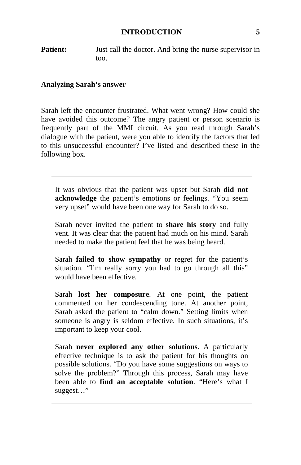#### **INTRODUCTION 5**

**Patient:** Just call the doctor. And bring the nurse supervisor in too.

#### **Analyzing Sarah's answer**

Sarah left the encounter frustrated. What went wrong? How could she have avoided this outcome? The angry patient or person scenario is frequently part of the MMI circuit. As you read through Sarah's dialogue with the patient, were you able to identify the factors that led to this unsuccessful encounter? I've listed and described these in the following box.

It was obvious that the patient was upset but Sarah **did not acknowledge** the patient's emotions or feelings. "You seem very upset" would have been one way for Sarah to do so.

Sarah never invited the patient to **share his story** and fully vent. It was clear that the patient had much on his mind. Sarah needed to make the patient feel that he was being heard.

Sarah **failed to show sympathy** or regret for the patient's situation. "I'm really sorry you had to go through all this" would have been effective.

Sarah **lost her composure**. At one point, the patient commented on her condescending tone. At another point, Sarah asked the patient to "calm down." Setting limits when someone is angry is seldom effective. In such situations, it's important to keep your cool.

Sarah **never explored any other solutions**. A particularly effective technique is to ask the patient for his thoughts on possible solutions. "Do you have some suggestions on ways to solve the problem?" Through this process, Sarah may have been able to **find an acceptable solution**. "Here's what I suggest…"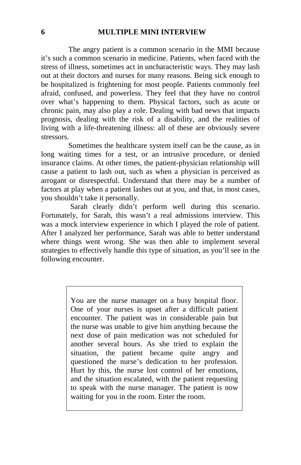#### **6 MULTIPLE MINI INTERVIEW**

The angry patient is a common scenario in the MMI because it's such a common scenario in medicine. Patients, when faced with the stress of illness, sometimes act in uncharacteristic ways. They may lash out at their doctors and nurses for many reasons. Being sick enough to be hospitalized is frightening for most people. Patients commonly feel afraid, confused, and powerless. They feel that they have no control over what's happening to them. Physical factors, such as acute or chronic pain, may also play a role. Dealing with bad news that impacts prognosis, dealing with the risk of a disability, and the realities of living with a life-threatening illness: all of these are obviously severe stressors.

Sometimes the healthcare system itself can be the cause, as in long waiting times for a test, or an intrusive procedure, or denied insurance claims. At other times, the patient-physician relationship will cause a patient to lash out, such as when a physician is perceived as arrogant or disrespectful. Understand that there may be a number of factors at play when a patient lashes out at you, and that, in most cases, you shouldn't take it personally.

Sarah clearly didn't perform well during this scenario. Fortunately, for Sarah, this wasn't a real admissions interview. This was a mock interview experience in which I played the role of patient. After I analyzed her performance, Sarah was able to better understand where things went wrong. She was then able to implement several strategies to effectively handle this type of situation, as you'll see in the following encounter.

> You are the nurse manager on a busy hospital floor. One of your nurses is upset after a difficult patient encounter. The patient was in considerable pain but the nurse was unable to give him anything because the next dose of pain medication was not scheduled for another several hours. As she tried to explain the situation, the patient became quite angry and questioned the nurse's dedication to her profession. Hurt by this, the nurse lost control of her emotions, and the situation escalated, with the patient requesting to speak with the nurse manager. The patient is now waiting for you in the room. Enter the room.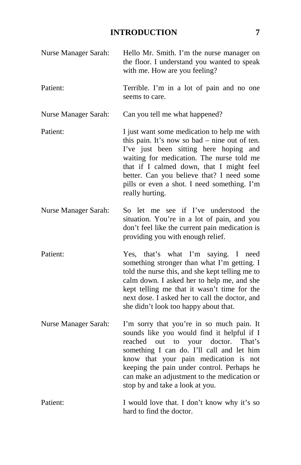#### **INTRODUCTION 7**

Nurse Manager Sarah: Hello Mr. Smith. I'm the nurse manager on the floor. I understand you wanted to speak with me. How are you feeling? Patient: Terrible. I'm in a lot of pain and no one seems to care. Nurse Manager Sarah: Can you tell me what happened? Patient: I just want some medication to help me with this pain. It's now so bad – nine out of ten. I've just been sitting here hoping and waiting for medication. The nurse told me that if I calmed down, that I might feel better. Can you believe that? I need some pills or even a shot. I need something. I'm really hurting. Nurse Manager Sarah: So let me see if I've understood the situation. You're in a lot of pain, and you don't feel like the current pain medication is providing you with enough relief. Patient: Yes, that's what I'm saying. I need something stronger than what I'm getting. I told the nurse this, and she kept telling me to calm down. I asked her to help me, and she kept telling me that it wasn't time for the next dose. I asked her to call the doctor, and she didn't look too happy about that. Nurse Manager Sarah: I'm sorry that you're in so much pain. It sounds like you would find it helpful if I reached out to your doctor. That's something I can do. I'll call and let him know that your pain medication is not keeping the pain under control. Perhaps he can make an adjustment to the medication or stop by and take a look at you. Patient: I would love that. I don't know why it's so hard to find the doctor.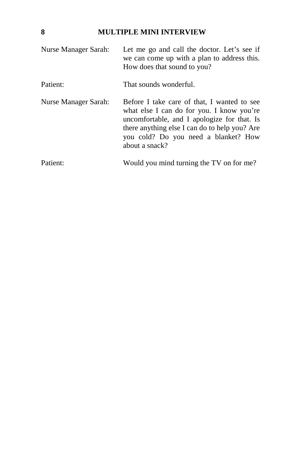#### **8 MULTIPLE MINI INTERVIEW**

| Nurse Manager Sarah: | Let me go and call the doctor. Let's see if<br>we can come up with a plan to address this.<br>How does that sound to you?                                                                                                                          |
|----------------------|----------------------------------------------------------------------------------------------------------------------------------------------------------------------------------------------------------------------------------------------------|
| Patient:             | That sounds wonderful.                                                                                                                                                                                                                             |
| Nurse Manager Sarah: | Before I take care of that, I wanted to see<br>what else I can do for you. I know you're<br>uncomfortable, and I apologize for that. Is<br>there anything else I can do to help you? Are<br>you cold? Do you need a blanket? How<br>about a snack? |
| Patient:             | Would you mind turning the TV on for me?                                                                                                                                                                                                           |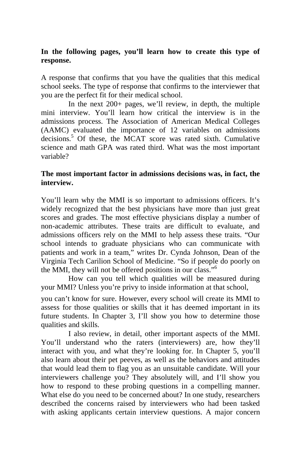#### **In the following pages, you'll learn how to create this type of response.**

A response that confirms that you have the qualities that this medical school seeks. The type of response that confirms to the interviewer that you are the perfect fit for their medical school.

In the next 200+ pages, we'll review, in depth, the multiple mini interview. You'll learn how critical the interview is in the admissions process. The Association of American Medical Colleges (AAMC) evaluated the importance of 12 variables on admissions decisions.<sup>5</sup> Of these, the MCAT score was rated sixth. Cumulative science and math GPA was rated third. What was the most important variable?

#### **The most important factor in admissions decisions was, in fact, the interview.**

You'll learn why the MMI is so important to admissions officers. It's widely recognized that the best physicians have more than just great scores and grades. The most effective physicians display a number of non-academic attributes. These traits are difficult to evaluate, and admissions officers rely on the MMI to help assess these traits. "Our school intends to graduate physicians who can communicate with patients and work in a team," writes Dr. Cynda Johnson, Dean of the Virginia Tech Carilion School of Medicine. "So if people do poorly on the MMI, they will not be offered positions in our class."<sup>6</sup>

How can you tell which qualities will be measured during your MMI? Unless you're privy to inside information at that school,

you can't know for sure. However, every school will create its MMI to assess for those qualities or skills that it has deemed important in its future students. In Chapter 3, I'll show you how to determine those qualities and skills.

I also review, in detail, other important aspects of the MMI. You'll understand who the raters (interviewers) are, how they'll interact with you, and what they're looking for. In Chapter 5, you'll also learn about their pet peeves, as well as the behaviors and attitudes that would lead them to flag you as an unsuitable candidate. Will your interviewers challenge you? They absolutely will, and I'll show you how to respond to these probing questions in a compelling manner. What else do you need to be concerned about? In one study, researchers described the concerns raised by interviewers who had been tasked with asking applicants certain interview questions. A major concern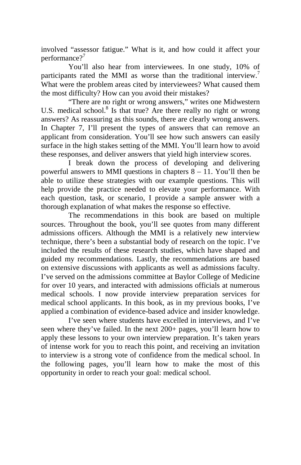involved "assessor fatigue." What is it, and how could it affect your performance?<sup>7</sup>

You'll also hear from interviewees. In one study, 10% of participants rated the MMI as worse than the traditional interview.<sup>7</sup> What were the problem areas cited by interviewees? What caused them the most difficulty? How can you avoid their mistakes?

"There are no right or wrong answers," writes one Midwestern U.S. medical school.<sup>8</sup> Is that true? Are there really no right or wrong answers? As reassuring as this sounds, there are clearly wrong answers. In Chapter 7, I'll present the types of answers that can remove an applicant from consideration. You'll see how such answers can easily surface in the high stakes setting of the MMI. You'll learn how to avoid these responses, and deliver answers that yield high interview scores.

I break down the process of developing and delivering powerful answers to MMI questions in chapters 8 – 11. You'll then be able to utilize these strategies with our example questions. This will help provide the practice needed to elevate your performance. With each question, task, or scenario, I provide a sample answer with a thorough explanation of what makes the response so effective.

The recommendations in this book are based on multiple sources. Throughout the book, you'll see quotes from many different admissions officers. Although the MMI is a relatively new interview technique, there's been a substantial body of research on the topic. I've included the results of these research studies, which have shaped and guided my recommendations. Lastly, the recommendations are based on extensive discussions with applicants as well as admissions faculty. I've served on the admissions committee at Baylor College of Medicine for over 10 years, and interacted with admissions officials at numerous medical schools. I now provide interview preparation services for medical school applicants. In this book, as in my previous books, I've applied a combination of evidence-based advice and insider knowledge.

I've seen where students have excelled in interviews, and I've seen where they've failed. In the next 200+ pages, you'll learn how to apply these lessons to your own interview preparation. It's taken years of intense work for you to reach this point, and receiving an invitation to interview is a strong vote of confidence from the medical school. In the following pages, you'll learn how to make the most of this opportunity in order to reach your goal: medical school.